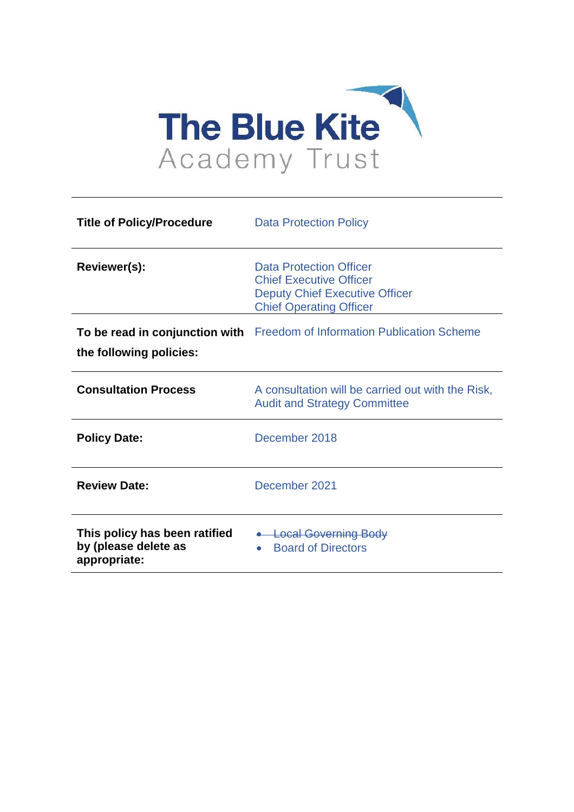

| <b>Title of Policy/Procedure</b>                                      | <b>Data Protection Policy</b>                                                                                                        |
|-----------------------------------------------------------------------|--------------------------------------------------------------------------------------------------------------------------------------|
| Reviewer(s):                                                          | Data Protection Officer<br><b>Chief Executive Officer</b><br><b>Deputy Chief Executive Officer</b><br><b>Chief Operating Officer</b> |
| the following policies:                                               | To be read in conjunction with Freedom of Information Publication Scheme                                                             |
| <b>Consultation Process</b>                                           | A consultation will be carried out with the Risk,<br><b>Audit and Strategy Committee</b>                                             |
| <b>Policy Date:</b>                                                   | December 2018                                                                                                                        |
| <b>Review Date:</b>                                                   | December 2021                                                                                                                        |
| This policy has been ratified<br>by (please delete as<br>appropriate: | • Local Governing Body<br><b>Board of Directors</b><br>$\bullet$                                                                     |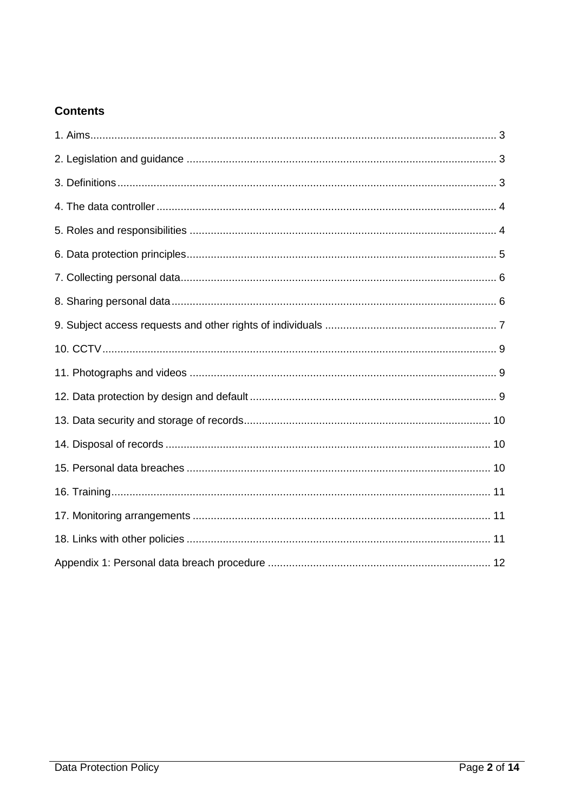### **Contents**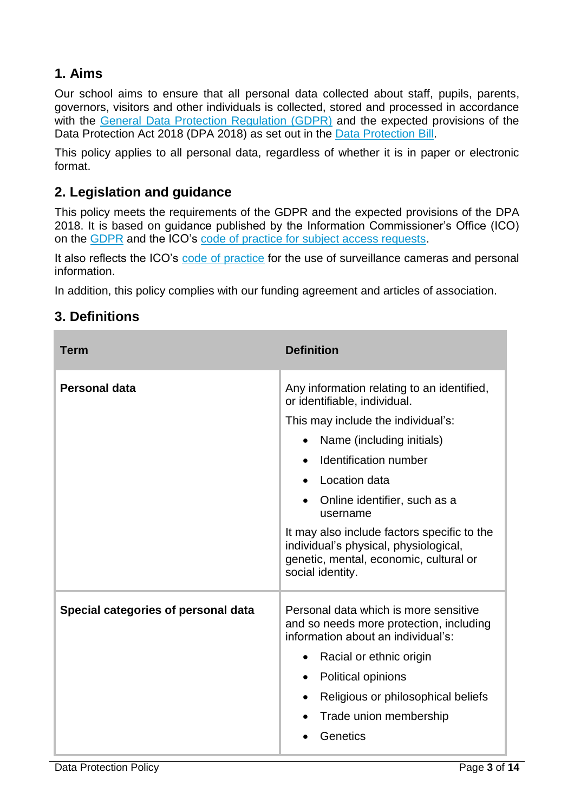# **1. Aims**

Our school aims to ensure that all personal data collected about staff, pupils, parents, governors, visitors and other individuals is collected, stored and processed in accordance with the [General Data Protection Regulation \(GDPR\)](http://data.consilium.europa.eu/doc/document/ST-5419-2016-INIT/en/pdf) and the expected provisions of the Data Protection Act 2018 (DPA 2018) as set out in the [Data Protection Bill.](https://publications.parliament.uk/pa/bills/cbill/2017-2019/0153/18153.pdf)

This policy applies to all personal data, regardless of whether it is in paper or electronic format.

# **2. Legislation and guidance**

This policy meets the requirements of the GDPR and the expected provisions of the DPA 2018. It is based on guidance published by the Information Commissioner's Office (ICO) on the [GDPR](https://ico.org.uk/for-organisations/guide-to-the-general-data-protection-regulation-gdpr/) and the ICO's [code of practice for subject access requests.](https://ico.org.uk/media/for-organisations/documents/2014223/subject-access-code-of-practice.pdf)

It also reflects the ICO's [code of practice](https://ico.org.uk/media/for-organisations/documents/1542/cctv-code-of-practice.pdf) for the use of surveillance cameras and personal information.

In addition, this policy complies with our funding agreement and articles of association.

# **3. Definitions**

| Term                                | <b>Definition</b>                                                                                                                                                                                                                                                                                                                                                                                                   |
|-------------------------------------|---------------------------------------------------------------------------------------------------------------------------------------------------------------------------------------------------------------------------------------------------------------------------------------------------------------------------------------------------------------------------------------------------------------------|
| <b>Personal data</b>                | Any information relating to an identified,<br>or identifiable, individual.<br>This may include the individual's:<br>Name (including initials)<br>Identification number<br>$\bullet$<br>Location data<br>$\bullet$<br>Online identifier, such as a<br>username<br>It may also include factors specific to the<br>individual's physical, physiological,<br>genetic, mental, economic, cultural or<br>social identity. |
| Special categories of personal data | Personal data which is more sensitive<br>and so needs more protection, including<br>information about an individual's:<br>Racial or ethnic origin<br>Political opinions<br>$\bullet$<br>Religious or philosophical beliefs<br>$\bullet$<br>Trade union membership<br>Genetics                                                                                                                                       |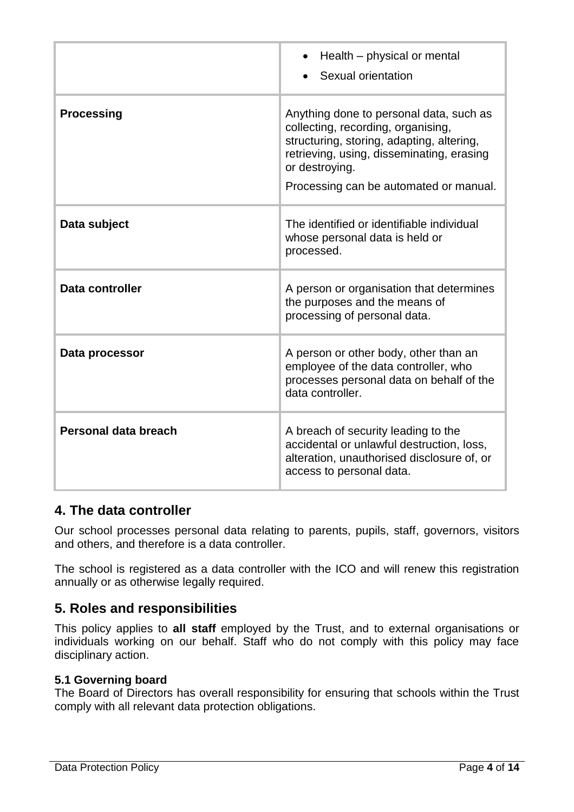|                      | Health – physical or mental<br>$\bullet$<br>Sexual orientation                                                                                                                                                                      |
|----------------------|-------------------------------------------------------------------------------------------------------------------------------------------------------------------------------------------------------------------------------------|
| <b>Processing</b>    | Anything done to personal data, such as<br>collecting, recording, organising,<br>structuring, storing, adapting, altering,<br>retrieving, using, disseminating, erasing<br>or destroying.<br>Processing can be automated or manual. |
| Data subject         | The identified or identifiable individual<br>whose personal data is held or<br>processed.                                                                                                                                           |
| Data controller      | A person or organisation that determines<br>the purposes and the means of<br>processing of personal data.                                                                                                                           |
| Data processor       | A person or other body, other than an<br>employee of the data controller, who<br>processes personal data on behalf of the<br>data controller.                                                                                       |
| Personal data breach | A breach of security leading to the<br>accidental or unlawful destruction, loss,<br>alteration, unauthorised disclosure of, or<br>access to personal data.                                                                          |

# **4. The data controller**

Our school processes personal data relating to parents, pupils, staff, governors, visitors and others, and therefore is a data controller.

The school is registered as a data controller with the ICO and will renew this registration annually or as otherwise legally required.

### **5. Roles and responsibilities**

This policy applies to **all staff** employed by the Trust, and to external organisations or individuals working on our behalf. Staff who do not comply with this policy may face disciplinary action.

### **5.1 Governing board**

The Board of Directors has overall responsibility for ensuring that schools within the Trust comply with all relevant data protection obligations.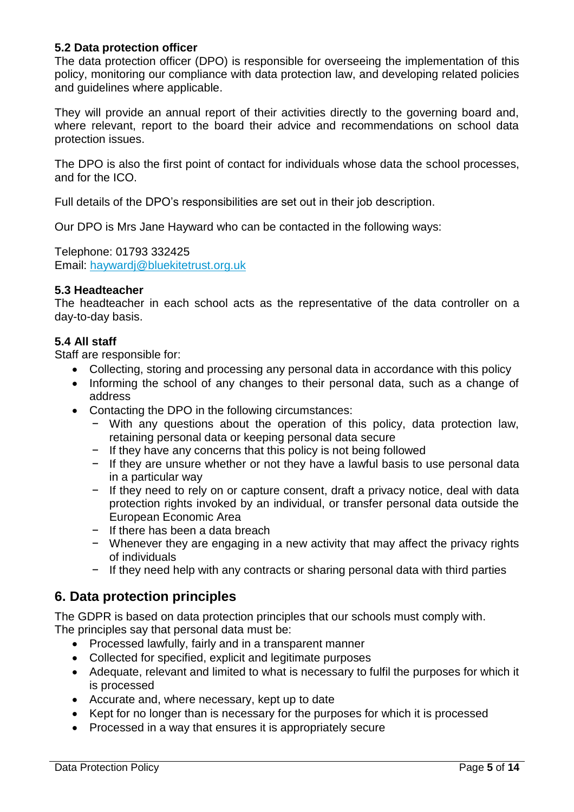#### **5.2 Data protection officer**

The data protection officer (DPO) is responsible for overseeing the implementation of this policy, monitoring our compliance with data protection law, and developing related policies and guidelines where applicable.

They will provide an annual report of their activities directly to the governing board and, where relevant, report to the board their advice and recommendations on school data protection issues.

The DPO is also the first point of contact for individuals whose data the school processes, and for the ICO.

Full details of the DPO's responsibilities are set out in their job description.

Our DPO is Mrs Jane Hayward who can be contacted in the following ways:

Telephone: 01793 332425 Email: [haywardj@bluekitetrust.org.uk](mailto:haywardj@bluekitetrust.org.uk)

#### **5.3 Headteacher**

The headteacher in each school acts as the representative of the data controller on a day-to-day basis.

#### **5.4 All staff**

Staff are responsible for:

- Collecting, storing and processing any personal data in accordance with this policy
- Informing the school of any changes to their personal data, such as a change of address
- Contacting the DPO in the following circumstances:
	- − With any questions about the operation of this policy, data protection law, retaining personal data or keeping personal data secure
	- − If they have any concerns that this policy is not being followed
	- − If they are unsure whether or not they have a lawful basis to use personal data in a particular way
	- − If they need to rely on or capture consent, draft a privacy notice, deal with data protection rights invoked by an individual, or transfer personal data outside the European Economic Area
	- − If there has been a data breach
	- − Whenever they are engaging in a new activity that may affect the privacy rights of individuals
	- − If they need help with any contracts or sharing personal data with third parties

### **6. Data protection principles**

The GDPR is based on data protection principles that our schools must comply with. The principles say that personal data must be:

- Processed lawfully, fairly and in a transparent manner
- Collected for specified, explicit and legitimate purposes
- Adequate, relevant and limited to what is necessary to fulfil the purposes for which it is processed
- Accurate and, where necessary, kept up to date
- Kept for no longer than is necessary for the purposes for which it is processed
- Processed in a way that ensures it is appropriately secure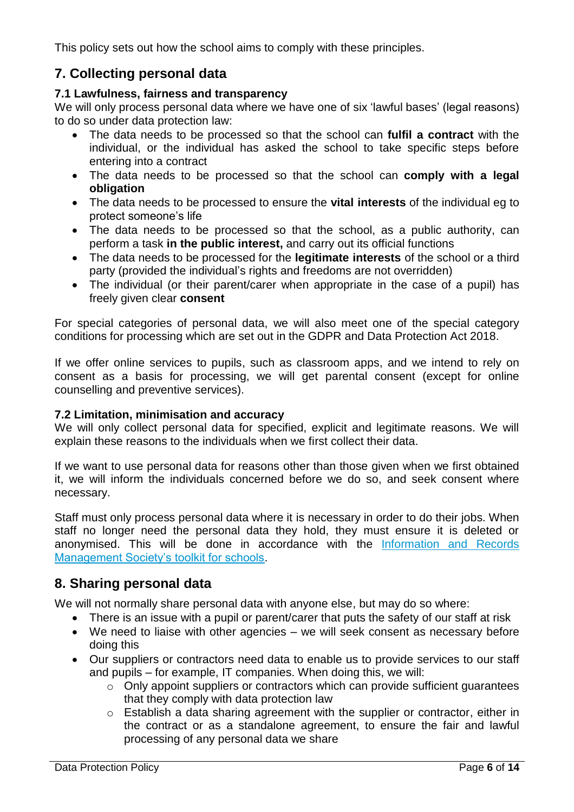This policy sets out how the school aims to comply with these principles.

# **7. Collecting personal data**

#### **7.1 Lawfulness, fairness and transparency**

We will only process personal data where we have one of six 'lawful bases' (legal reasons) to do so under data protection law:

- The data needs to be processed so that the school can **fulfil a contract** with the individual, or the individual has asked the school to take specific steps before entering into a contract
- The data needs to be processed so that the school can **comply with a legal obligation**
- The data needs to be processed to ensure the **vital interests** of the individual eg to protect someone's life
- The data needs to be processed so that the school, as a public authority, can perform a task **in the public interest,** and carry out its official functions
- The data needs to be processed for the **legitimate interests** of the school or a third party (provided the individual's rights and freedoms are not overridden)
- The individual (or their parent/carer when appropriate in the case of a pupil) has freely given clear **consent**

For special categories of personal data, we will also meet one of the special category conditions for processing which are set out in the GDPR and Data Protection Act 2018.

If we offer online services to pupils, such as classroom apps, and we intend to rely on consent as a basis for processing, we will get parental consent (except for online counselling and preventive services).

### **7.2 Limitation, minimisation and accuracy**

We will only collect personal data for specified, explicit and legitimate reasons. We will explain these reasons to the individuals when we first collect their data.

If we want to use personal data for reasons other than those given when we first obtained it, we will inform the individuals concerned before we do so, and seek consent where necessary.

Staff must only process personal data where it is necessary in order to do their jobs. When staff no longer need the personal data they hold, they must ensure it is deleted or anonymised. This will be done in accordance with the [Information and Records](http://irms.org.uk/?page=schoolstoolkit&terms=%22toolkit+and+schools%22)  [Management Society's toolkit for schools.](http://irms.org.uk/?page=schoolstoolkit&terms=%22toolkit+and+schools%22)

### **8. Sharing personal data**

We will not normally share personal data with anyone else, but may do so where:

- There is an issue with a pupil or parent/carer that puts the safety of our staff at risk
- We need to liaise with other agencies we will seek consent as necessary before doing this
- Our suppliers or contractors need data to enable us to provide services to our staff and pupils – for example, IT companies. When doing this, we will:
	- o Only appoint suppliers or contractors which can provide sufficient guarantees that they comply with data protection law
	- o Establish a data sharing agreement with the supplier or contractor, either in the contract or as a standalone agreement, to ensure the fair and lawful processing of any personal data we share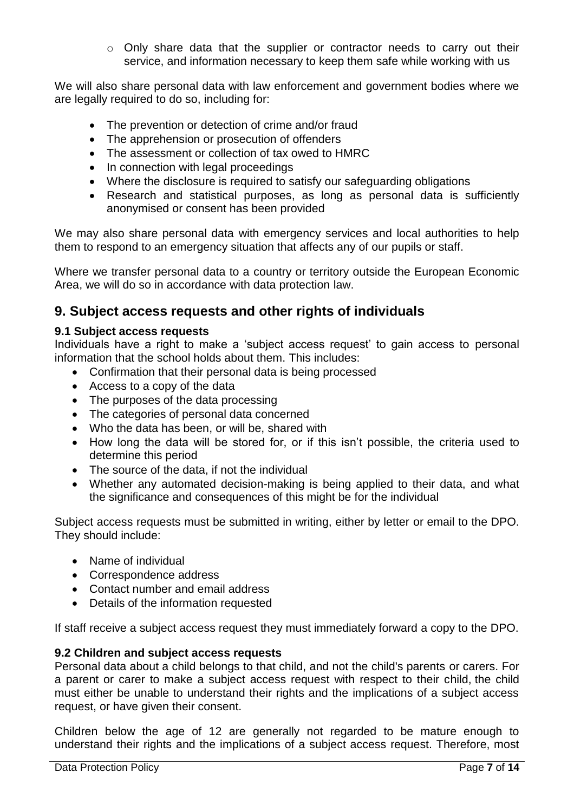$\circ$  Only share data that the supplier or contractor needs to carry out their service, and information necessary to keep them safe while working with us

We will also share personal data with law enforcement and government bodies where we are legally required to do so, including for:

- The prevention or detection of crime and/or fraud
- The apprehension or prosecution of offenders
- The assessment or collection of tax owed to HMRC
- In connection with legal proceedings
- Where the disclosure is required to satisfy our safeguarding obligations
- Research and statistical purposes, as long as personal data is sufficiently anonymised or consent has been provided

We may also share personal data with emergency services and local authorities to help them to respond to an emergency situation that affects any of our pupils or staff.

Where we transfer personal data to a country or territory outside the European Economic Area, we will do so in accordance with data protection law.

### **9. Subject access requests and other rights of individuals**

#### **9.1 Subject access requests**

Individuals have a right to make a 'subject access request' to gain access to personal information that the school holds about them. This includes:

- Confirmation that their personal data is being processed
- Access to a copy of the data
- The purposes of the data processing
- The categories of personal data concerned
- Who the data has been, or will be, shared with
- How long the data will be stored for, or if this isn't possible, the criteria used to determine this period
- The source of the data, if not the individual
- Whether any automated decision-making is being applied to their data, and what the significance and consequences of this might be for the individual

Subject access requests must be submitted in writing, either by letter or email to the DPO. They should include:

- Name of individual
- Correspondence address
- Contact number and email address
- Details of the information requested

If staff receive a subject access request they must immediately forward a copy to the DPO.

#### **9.2 Children and subject access requests**

Personal data about a child belongs to that child, and not the child's parents or carers. For a parent or carer to make a subject access request with respect to their child, the child must either be unable to understand their rights and the implications of a subject access request, or have given their consent.

Children below the age of 12 are generally not regarded to be mature enough to understand their rights and the implications of a subject access request. Therefore, most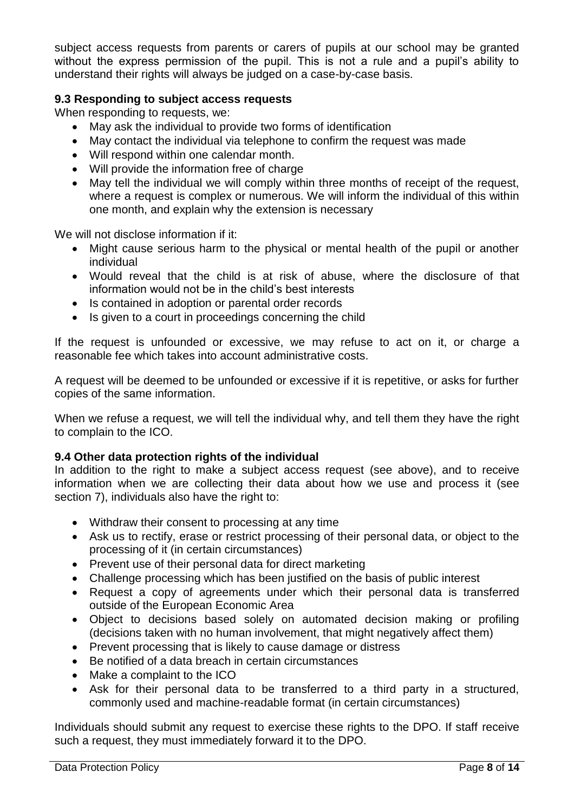subject access requests from parents or carers of pupils at our school may be granted without the express permission of the pupil. This is not a rule and a pupil's ability to understand their rights will always be judged on a case-by-case basis.

#### **9.3 Responding to subject access requests**

When responding to requests, we:

- May ask the individual to provide two forms of identification
- May contact the individual via telephone to confirm the request was made
- Will respond within one calendar month.
- Will provide the information free of charge
- May tell the individual we will comply within three months of receipt of the request, where a request is complex or numerous. We will inform the individual of this within one month, and explain why the extension is necessary

We will not disclose information if it:

- Might cause serious harm to the physical or mental health of the pupil or another individual
- Would reveal that the child is at risk of abuse, where the disclosure of that information would not be in the child's best interests
- Is contained in adoption or parental order records
- Is given to a court in proceedings concerning the child

If the request is unfounded or excessive, we may refuse to act on it, or charge a reasonable fee which takes into account administrative costs.

A request will be deemed to be unfounded or excessive if it is repetitive, or asks for further copies of the same information.

When we refuse a request, we will tell the individual why, and tell them they have the right to complain to the ICO.

#### **9.4 Other data protection rights of the individual**

In addition to the right to make a subject access request (see above), and to receive information when we are collecting their data about how we use and process it (see section 7), individuals also have the right to:

- Withdraw their consent to processing at any time
- Ask us to rectify, erase or restrict processing of their personal data, or object to the processing of it (in certain circumstances)
- Prevent use of their personal data for direct marketing
- Challenge processing which has been justified on the basis of public interest
- Request a copy of agreements under which their personal data is transferred outside of the European Economic Area
- Object to decisions based solely on automated decision making or profiling (decisions taken with no human involvement, that might negatively affect them)
- Prevent processing that is likely to cause damage or distress
- Be notified of a data breach in certain circumstances
- Make a complaint to the ICO
- Ask for their personal data to be transferred to a third party in a structured, commonly used and machine-readable format (in certain circumstances)

Individuals should submit any request to exercise these rights to the DPO. If staff receive such a request, they must immediately forward it to the DPO.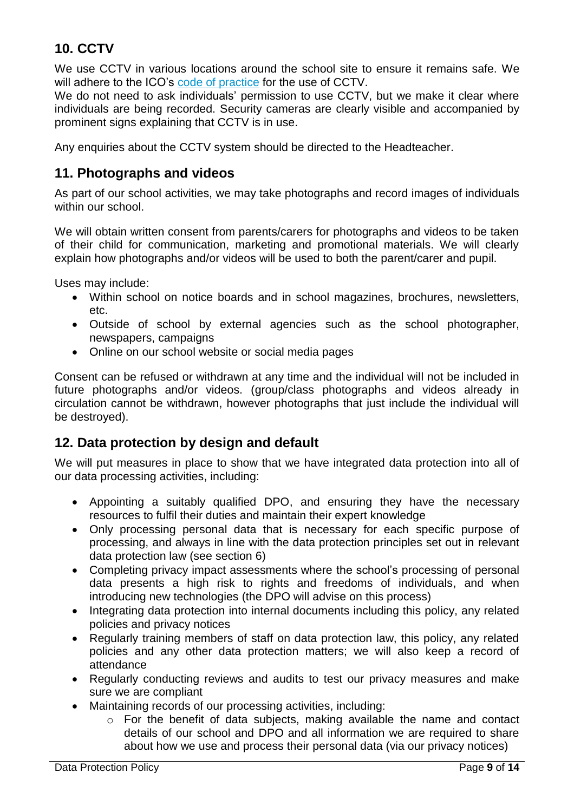# **10. CCTV**

We use CCTV in various locations around the school site to ensure it remains safe. We will adhere to the ICO's [code of practice](https://ico.org.uk/media/for-organisations/documents/1542/cctv-code-of-practice.pdf) for the use of CCTV.

We do not need to ask individuals' permission to use CCTV, but we make it clear where individuals are being recorded. Security cameras are clearly visible and accompanied by prominent signs explaining that CCTV is in use.

Any enquiries about the CCTV system should be directed to the Headteacher.

### **11. Photographs and videos**

As part of our school activities, we may take photographs and record images of individuals within our school.

We will obtain written consent from parents/carers for photographs and videos to be taken of their child for communication, marketing and promotional materials. We will clearly explain how photographs and/or videos will be used to both the parent/carer and pupil.

Uses may include:

- Within school on notice boards and in school magazines, brochures, newsletters, etc.
- Outside of school by external agencies such as the school photographer, newspapers, campaigns
- Online on our school website or social media pages

Consent can be refused or withdrawn at any time and the individual will not be included in future photographs and/or videos. (group/class photographs and videos already in circulation cannot be withdrawn, however photographs that just include the individual will be destroyed).

# **12. Data protection by design and default**

We will put measures in place to show that we have integrated data protection into all of our data processing activities, including:

- Appointing a suitably qualified DPO, and ensuring they have the necessary resources to fulfil their duties and maintain their expert knowledge
- Only processing personal data that is necessary for each specific purpose of processing, and always in line with the data protection principles set out in relevant data protection law (see section 6)
- Completing privacy impact assessments where the school's processing of personal data presents a high risk to rights and freedoms of individuals, and when introducing new technologies (the DPO will advise on this process)
- Integrating data protection into internal documents including this policy, any related policies and privacy notices
- Regularly training members of staff on data protection law, this policy, any related policies and any other data protection matters; we will also keep a record of attendance
- Regularly conducting reviews and audits to test our privacy measures and make sure we are compliant
- Maintaining records of our processing activities, including:
	- o For the benefit of data subjects, making available the name and contact details of our school and DPO and all information we are required to share about how we use and process their personal data (via our privacy notices)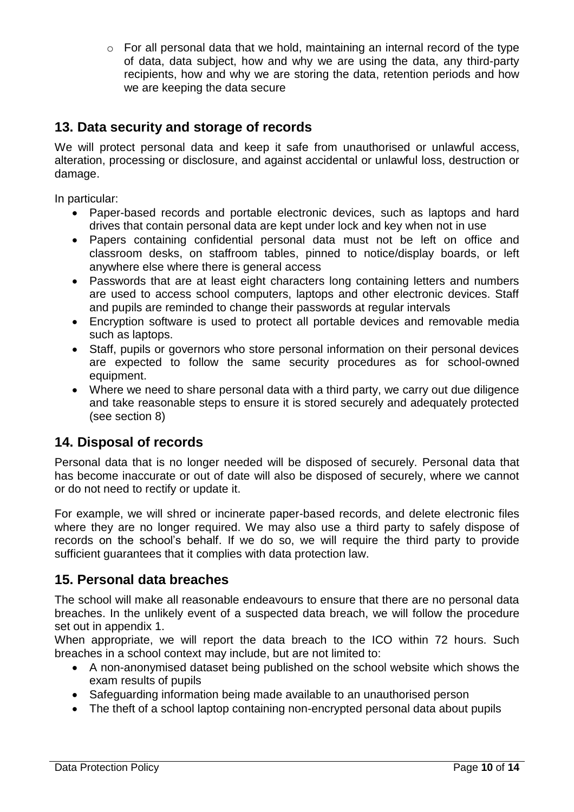$\circ$  For all personal data that we hold, maintaining an internal record of the type of data, data subject, how and why we are using the data, any third-party recipients, how and why we are storing the data, retention periods and how we are keeping the data secure

# **13. Data security and storage of records**

We will protect personal data and keep it safe from unauthorised or unlawful access, alteration, processing or disclosure, and against accidental or unlawful loss, destruction or damage.

In particular:

- Paper-based records and portable electronic devices, such as laptops and hard drives that contain personal data are kept under lock and key when not in use
- Papers containing confidential personal data must not be left on office and classroom desks, on staffroom tables, pinned to notice/display boards, or left anywhere else where there is general access
- Passwords that are at least eight characters long containing letters and numbers are used to access school computers, laptops and other electronic devices. Staff and pupils are reminded to change their passwords at regular intervals
- Encryption software is used to protect all portable devices and removable media such as laptops.
- Staff, pupils or governors who store personal information on their personal devices are expected to follow the same security procedures as for school-owned equipment.
- Where we need to share personal data with a third party, we carry out due diligence and take reasonable steps to ensure it is stored securely and adequately protected (see section 8)

# **14. Disposal of records**

Personal data that is no longer needed will be disposed of securely. Personal data that has become inaccurate or out of date will also be disposed of securely, where we cannot or do not need to rectify or update it.

For example, we will shred or incinerate paper-based records, and delete electronic files where they are no longer required. We may also use a third party to safely dispose of records on the school's behalf. If we do so, we will require the third party to provide sufficient guarantees that it complies with data protection law.

# **15. Personal data breaches**

The school will make all reasonable endeavours to ensure that there are no personal data breaches. In the unlikely event of a suspected data breach, we will follow the procedure set out in appendix 1.

When appropriate, we will report the data breach to the ICO within 72 hours. Such breaches in a school context may include, but are not limited to:

- A non-anonymised dataset being published on the school website which shows the exam results of pupils
- Safeguarding information being made available to an unauthorised person
- The theft of a school laptop containing non-encrypted personal data about pupils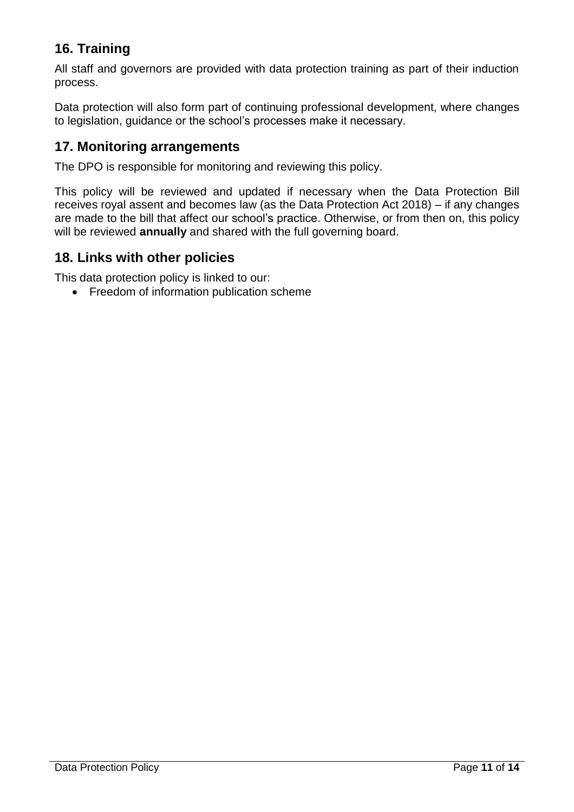# **16. Training**

All staff and governors are provided with data protection training as part of their induction process.

Data protection will also form part of continuing professional development, where changes to legislation, guidance or the school's processes make it necessary.

### **17. Monitoring arrangements**

The DPO is responsible for monitoring and reviewing this policy.

This policy will be reviewed and updated if necessary when the Data Protection Bill receives royal assent and becomes law (as the Data Protection Act 2018) – if any changes are made to the bill that affect our school's practice. Otherwise, or from then on, this policy will be reviewed **annually** and shared with the full governing board.

### **18. Links with other policies**

This data protection policy is linked to our:

• Freedom of information publication scheme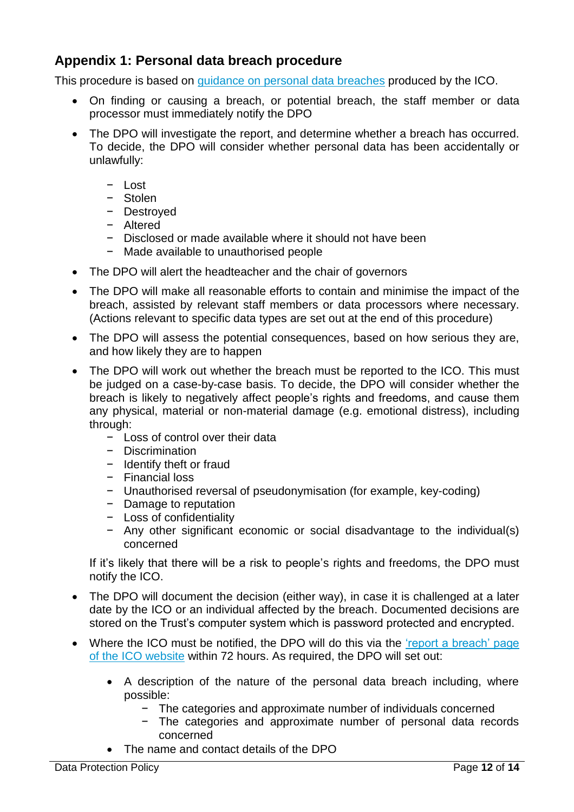# **Appendix 1: Personal data breach procedure**

This procedure is based on [guidance on personal data breaches](https://ico.org.uk/for-organisations/guide-to-the-general-data-protection-regulation-gdpr/personal-data-breaches/) produced by the ICO.

- On finding or causing a breach, or potential breach, the staff member or data processor must immediately notify the DPO
- The DPO will investigate the report, and determine whether a breach has occurred. To decide, the DPO will consider whether personal data has been accidentally or unlawfully:
	- − Lost
	- − Stolen
	- − Destroyed
	- − Altered
	- − Disclosed or made available where it should not have been
	- − Made available to unauthorised people
- The DPO will alert the headteacher and the chair of governors
- The DPO will make all reasonable efforts to contain and minimise the impact of the breach, assisted by relevant staff members or data processors where necessary. (Actions relevant to specific data types are set out at the end of this procedure)
- The DPO will assess the potential consequences, based on how serious they are, and how likely they are to happen
- The DPO will work out whether the breach must be reported to the ICO. This must be judged on a case-by-case basis. To decide, the DPO will consider whether the breach is likely to negatively affect people's rights and freedoms, and cause them any physical, material or non-material damage (e.g. emotional distress), including through:
	- − Loss of control over their data
	- − Discrimination
	- − Identify theft or fraud
	- − Financial loss
	- − Unauthorised reversal of pseudonymisation (for example, key-coding)
	- − Damage to reputation
	- − Loss of confidentiality
	- − Any other significant economic or social disadvantage to the individual(s) concerned

If it's likely that there will be a risk to people's rights and freedoms, the DPO must notify the ICO.

- The DPO will document the decision (either way), in case it is challenged at a later date by the ICO or an individual affected by the breach. Documented decisions are stored on the Trust's computer system which is password protected and encrypted.
- Where the ICO must be notified, the DPO will do this via the 'report a breach' page [of the ICO website](https://ico.org.uk/for-organisations/report-a-breach/) within 72 hours. As required, the DPO will set out:
	- A description of the nature of the personal data breach including, where possible:
		- − The categories and approximate number of individuals concerned
		- − The categories and approximate number of personal data records concerned
	- The name and contact details of the DPO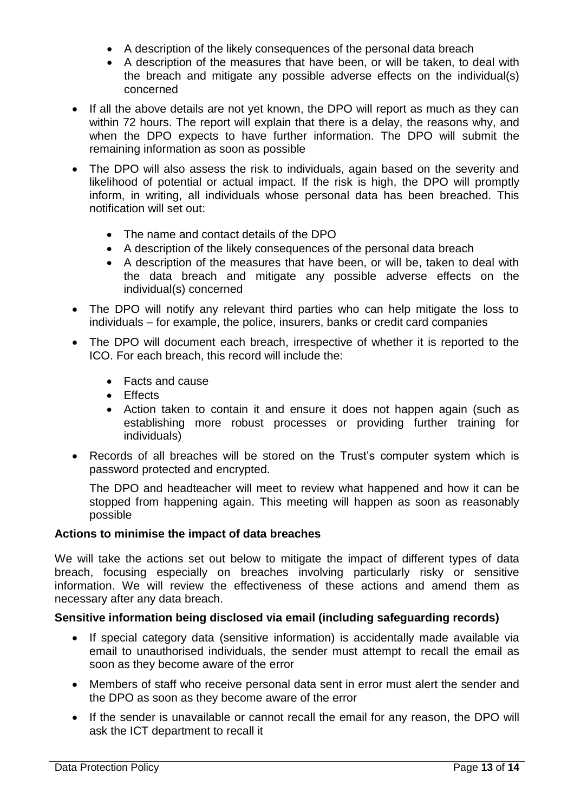- A description of the likely consequences of the personal data breach
- A description of the measures that have been, or will be taken, to deal with the breach and mitigate any possible adverse effects on the individual(s) concerned
- If all the above details are not yet known, the DPO will report as much as they can within 72 hours. The report will explain that there is a delay, the reasons why, and when the DPO expects to have further information. The DPO will submit the remaining information as soon as possible
- The DPO will also assess the risk to individuals, again based on the severity and likelihood of potential or actual impact. If the risk is high, the DPO will promptly inform, in writing, all individuals whose personal data has been breached. This notification will set out:
	- The name and contact details of the DPO
	- A description of the likely consequences of the personal data breach
	- A description of the measures that have been, or will be, taken to deal with the data breach and mitigate any possible adverse effects on the individual(s) concerned
- The DPO will notify any relevant third parties who can help mitigate the loss to individuals – for example, the police, insurers, banks or credit card companies
- The DPO will document each breach, irrespective of whether it is reported to the ICO. For each breach, this record will include the:
	- Facts and cause
	- Effects
	- Action taken to contain it and ensure it does not happen again (such as establishing more robust processes or providing further training for individuals)
- Records of all breaches will be stored on the Trust's computer system which is password protected and encrypted.

The DPO and headteacher will meet to review what happened and how it can be stopped from happening again. This meeting will happen as soon as reasonably possible

#### **Actions to minimise the impact of data breaches**

We will take the actions set out below to mitigate the impact of different types of data breach, focusing especially on breaches involving particularly risky or sensitive information. We will review the effectiveness of these actions and amend them as necessary after any data breach.

#### **Sensitive information being disclosed via email (including safeguarding records)**

- If special category data (sensitive information) is accidentally made available via email to unauthorised individuals, the sender must attempt to recall the email as soon as they become aware of the error
- Members of staff who receive personal data sent in error must alert the sender and the DPO as soon as they become aware of the error
- If the sender is unavailable or cannot recall the email for any reason, the DPO will ask the ICT department to recall it